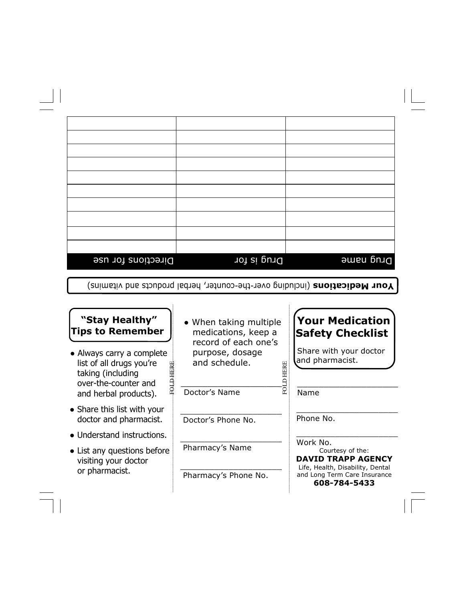| Directions for use | Drug is for | Drug name |
|--------------------|-------------|-----------|

Your Medications (including over-the-counter, herbal products and vitamins)

## "Stay Healthy" Tips to Remember

- Always carry a complete list of all drugs you're taking (including over-the-counter and and herbal products).
- Share this list with your doctor and pharmacist.
- Understand instructions.
- List any questions before visiting your doctor or pharmacist.
- When taking multiple medications, keep a record of each one's purpose, dosage and schedule. and schedule.<br>
Here<br>
Doctor's Name

 \_\_\_\_\_\_\_\_\_\_\_\_\_\_\_\_\_\_\_ Doctor's Name

 $\frac{1}{2}$  ,  $\frac{1}{2}$  ,  $\frac{1}{2}$  ,  $\frac{1}{2}$  ,  $\frac{1}{2}$  ,  $\frac{1}{2}$  ,  $\frac{1}{2}$  ,  $\frac{1}{2}$  ,  $\frac{1}{2}$  ,  $\frac{1}{2}$  ,  $\frac{1}{2}$  ,  $\frac{1}{2}$  ,  $\frac{1}{2}$  ,  $\frac{1}{2}$  ,  $\frac{1}{2}$  ,  $\frac{1}{2}$  ,  $\frac{1}{2}$  ,  $\frac{1}{2}$  ,  $\frac{1$ Doctor's Phone No.

 $\frac{1}{2}$  ,  $\frac{1}{2}$  ,  $\frac{1}{2}$  ,  $\frac{1}{2}$  ,  $\frac{1}{2}$  ,  $\frac{1}{2}$  ,  $\frac{1}{2}$  ,  $\frac{1}{2}$  ,  $\frac{1}{2}$  ,  $\frac{1}{2}$  ,  $\frac{1}{2}$  ,  $\frac{1}{2}$  ,  $\frac{1}{2}$  ,  $\frac{1}{2}$  ,  $\frac{1}{2}$  ,  $\frac{1}{2}$  ,  $\frac{1}{2}$  ,  $\frac{1}{2}$  ,  $\frac{1$ Pharmacy's Name

 $\frac{1}{2}$  ,  $\frac{1}{2}$  ,  $\frac{1}{2}$  ,  $\frac{1}{2}$  ,  $\frac{1}{2}$  ,  $\frac{1}{2}$  ,  $\frac{1}{2}$  ,  $\frac{1}{2}$  ,  $\frac{1}{2}$  ,  $\frac{1}{2}$  ,  $\frac{1}{2}$  ,  $\frac{1}{2}$  ,  $\frac{1}{2}$  ,  $\frac{1}{2}$  ,  $\frac{1}{2}$  ,  $\frac{1}{2}$  ,  $\frac{1}{2}$  ,  $\frac{1}{2}$  ,  $\frac{1$ Pharmacy's Phone No.

# Your Medication Safety Checklist

 Share with your doctor and pharmacist.

 $\frac{1}{2}$  ,  $\frac{1}{2}$  ,  $\frac{1}{2}$  ,  $\frac{1}{2}$  ,  $\frac{1}{2}$  ,  $\frac{1}{2}$  ,  $\frac{1}{2}$  ,  $\frac{1}{2}$  ,  $\frac{1}{2}$  ,  $\frac{1}{2}$  ,  $\frac{1}{2}$  ,  $\frac{1}{2}$  ,  $\frac{1}{2}$  ,  $\frac{1}{2}$  ,  $\frac{1}{2}$  ,  $\frac{1}{2}$  ,  $\frac{1}{2}$  ,  $\frac{1}{2}$  ,  $\frac{1$ 

 $\overline{\phantom{a}}$  , and the set of the set of the set of the set of the set of the set of the set of the set of the set of the set of the set of the set of the set of the set of the set of the set of the set of the set of the s

 $\frac{1}{2}$  ,  $\frac{1}{2}$  ,  $\frac{1}{2}$  ,  $\frac{1}{2}$  ,  $\frac{1}{2}$  ,  $\frac{1}{2}$  ,  $\frac{1}{2}$  ,  $\frac{1}{2}$  ,  $\frac{1}{2}$  ,  $\frac{1}{2}$  ,  $\frac{1}{2}$  ,  $\frac{1}{2}$  ,  $\frac{1}{2}$  ,  $\frac{1}{2}$  ,  $\frac{1}{2}$  ,  $\frac{1}{2}$  ,  $\frac{1}{2}$  ,  $\frac{1}{2}$  ,  $\frac{1$ 

Name

 $\overline{\phantom{a}}$ 

Phone No.

Work No.

Courtesy of the: DAVID TRAPP AGENCY Life, Health, Disability, Dental and Long Term Care Insurance 608-784-5433